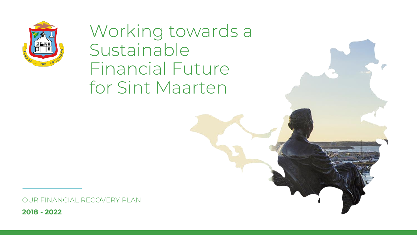

Working towards a Sustainable Financial Future for Sint Maarten

OUR FINANCIAL RECOVERY PLAN

**2018 - 2022**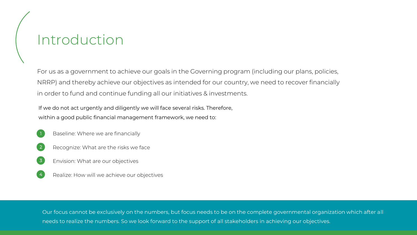# Introduction

For us as a government to achieve our goals in the Governing program (including our plans, policies, NRRP) and thereby achieve our objectives as intended for our country, we need to recover financially in order to fund and continue funding all our initiatives & investments.

If we do not act urgently and diligently we will face several risks. Therefore, within a good public financial management framework, we need to:

Baseline: Where we are financially

1

- 2 Recognize: What are the risks we face
- 3 Envision: What are our objectives
- 4 Realize: How will we achieve our objectives

needs to realize the numbers. So we look forward to the support of all stakeholders in achieving our objectives. Our focus cannot be exclusively on the numbers, but focus needs to be on the complete governmental organization which after all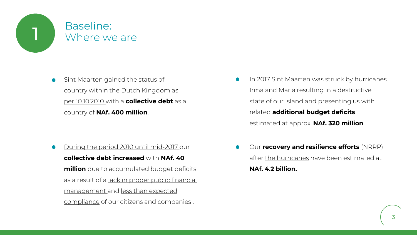

Sint Maarten gained the status of  $\bullet$ country within the Dutch Kingdom as per 10.10.2010 with a **collective debt** as a country of **NAf. 400 million**.

During the period 2010 until mid-2017 our  $\bullet$ **collective debt increased** with **NAf. 40 million** due to accumulated budget deficits as a result of a lack in proper public financial management and less than expected compliance of our citizens and companies .

- In 2017 Sint Maarten was struck by hurricanes Irma and Maria resulting in a destructive state of our Island and presenting us with related **additional budget deficits** estimated at approx. **NAf. 320 million**.
- Our **recovery and resilience efforts** (NRRP) after the hurricanes have been estimated at **NAf. 4.2 billion.**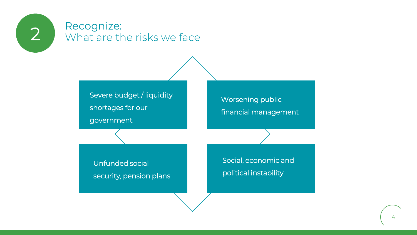

# 2 Recognize:<br>
What are the risks we face

Severe budget / liquidity shortages for our government

Worsening public financial management

Unfunded social security, pension plans Social, economic and political instability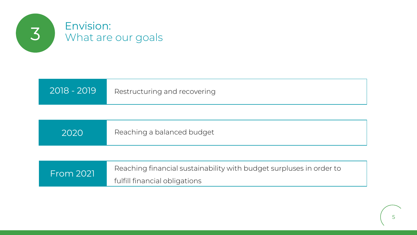

| 2018 - 2019 | Restructuring and recovering |
|-------------|------------------------------|
|             |                              |

| 2020 | Reaching a balanced budget |
|------|----------------------------|
|------|----------------------------|

| <b>From 2021</b> | Reaching financial sustainability with budget surpluses in order to |
|------------------|---------------------------------------------------------------------|
|                  | fulfill financial obligations                                       |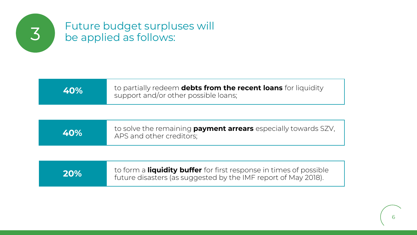

# Future budget surpluses will 3 be applied as follows:

| 40% | to partially redeem <b>debts from the recent loans</b> for liquidity<br>support and/or other possible loans; |
|-----|--------------------------------------------------------------------------------------------------------------|
|-----|--------------------------------------------------------------------------------------------------------------|

| <b>40%</b> | to solve the remaining <b>payment arrears</b> especially towards SZV,<br>APS and other creditors; |
|------------|---------------------------------------------------------------------------------------------------|
|------------|---------------------------------------------------------------------------------------------------|

| to form a <b>liquidity buffer</b> for first response in times of possible<br>20%<br>future disasters (as suggested by the IMF report of May 2018). |  |
|----------------------------------------------------------------------------------------------------------------------------------------------------|--|
|----------------------------------------------------------------------------------------------------------------------------------------------------|--|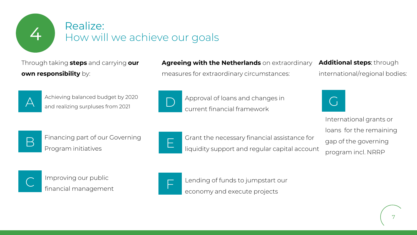

# Realize:<br>How will we achieve our goals

Through taking **steps** and carrying **our own responsibility** by:

### **Agreeing with the Netherlands** on extraordinary measures for extraordinary circumstances:

**Additional steps**: through international/regional bodies:



Achieving balanced budget by 2020 and realizing surpluses from 2021



Approval of loans and changes in current financial framework



International grants or loans for the remaining gap of the governing program incl. NRRP



Financing part of our Governing Program initiatives



E Grant the necessary financial assistance for liquidity support and regular capital account



Improving our public financial management



Lending of funds to jumpstart our economy and execute projects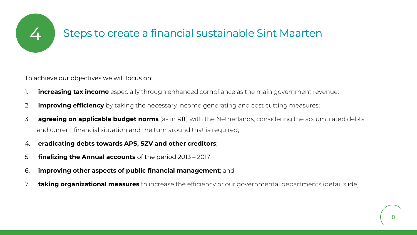

## 4 Steps to create a financial sustainable Sint Maarten

### To achieve our objectives we will focus on:

- 1. **increasing tax income** especially through enhanced compliance as the main government revenue;
- 2. **improving efficiency** by taking the necessary income generating and cost cutting measures;
- 3. **agreeing on applicable budget norms** (as in Rft) with the Netherlands, considering the accumulated debts and current financial situation and the turn around that is required;
- 4. **eradicating debts towards APS, SZV and other creditors**;
- 5. **finalizing the Annual accounts** of the period 2013 2017;
- 6. **improving other aspects of public financial management**; and
- 7. **taking organizational measures** to increase the efficiency or our governmental departments (detail slide)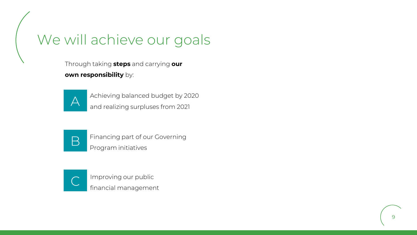## We will achieve our goals

Through taking **steps** and carrying **our own responsibility** by:



Achieving balanced budget by 2020 and realizing surpluses from 2021



Financing part of our Governing Program initiatives



Improving our public financial management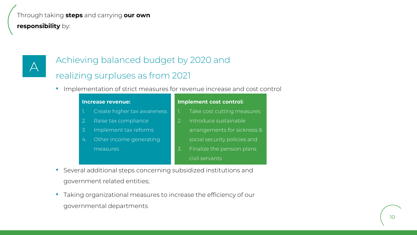### Through taking **steps** and carrying **our own**

**responsibility** by:

## A

## Achieving balanced budget by 2020 and

### realizing surpluses as from 2021

• Implementation of strict measures for revenue increase and cost control

| <b>Increase revenue:</b> |                             |                  | Implement cost control:      |  |  |  |  |
|--------------------------|-----------------------------|------------------|------------------------------|--|--|--|--|
|                          | Create higher tax awareness |                  | Take cost cutting measures   |  |  |  |  |
| $\overline{2}$ .         | Raise tax compliance        | 2.               | Introduce sustainable        |  |  |  |  |
| 3.                       | Implement tax reforms       |                  | arrangements for sickness &  |  |  |  |  |
| 4.                       | Other income generating     |                  | social security policies and |  |  |  |  |
|                          | measures                    | $\overline{3}$ . | Finalize the pension plans   |  |  |  |  |
|                          |                             |                  | civil servants               |  |  |  |  |

- Several additional steps concerning subsidized institutions and government related entities;
- Taking organizational measures to increase the efficiency of our governmental departments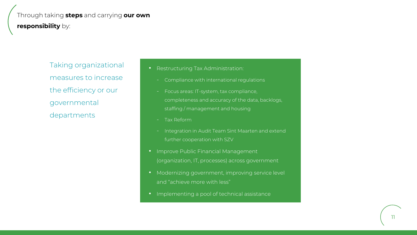### Through taking **steps** and carrying **our own responsibility** by:

Taking organizational measures to increase the efficiency or our governmental departments

- Restructuring Tax Administration:
	- Compliance with international regulations
	- Focus areas: IT-system, tax compliance, completeness and accuracy of the data, backlogs, staffing / management and housing
	- Tax Reform
	- Integration in Audit Team Sint Maarten and extend further cooperation with SZV
- Improve Public Financial Management (organization, IT, processes) across government
- Modernizing government, improving service level and "achieve more with less"
- Implementing a pool of technical assistance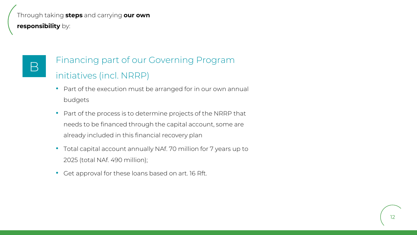### Through taking **steps** and carrying **our own**

**responsibility** by:

## B

## Financing part of our Governing Program initiatives (incl. NRRP)

- Part of the execution must be arranged for in our own annual budgets
- Part of the process is to determine projects of the NRRP that needs to be financed through the capital account, some are already included in this financial recovery plan
- Total capital account annually NAf. 70 million for 7 years up to 2025 (total NAf. 490 million);
- Get approval for these loans based on art. 16 Rft.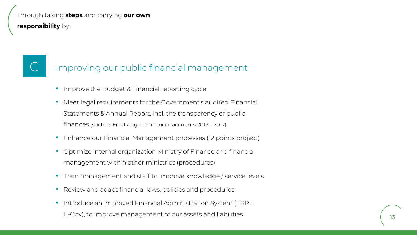### Through taking **steps** and carrying **our own**

**responsibility** by:

## Improving our public financial management

- Improve the Budget & Financial reporting cycle
- Meet legal requirements for the Government's audited Financial Statements & Annual Report, incl. the transparency of public finances (such as Finalizing the financial accounts 2013 – 2017)
- Enhance our Financial Management processes (12 points project)
- Optimize internal organization Ministry of Finance and financial management within other ministries (procedures)
- Train management and staff to improve knowledge / service levels
- Review and adapt financial laws, policies and procedures;
- Introduce an improved Financial Administration System (ERP + E-Gov), to improve management of our assets and liabilities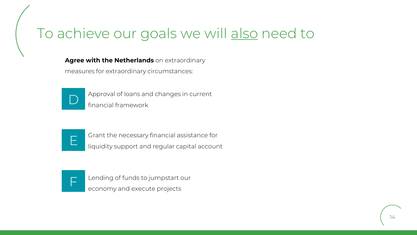## To achieve our goals we will also need to

**Agree with the Netherlands** on extraordinary

measures for extraordinary circumstances:



Approval of loans and changes in current<br>financial framework



Grant the necessary financial assistance for liquidity support and regular capital account



Lending of funds to jumpstart our economy and execute projects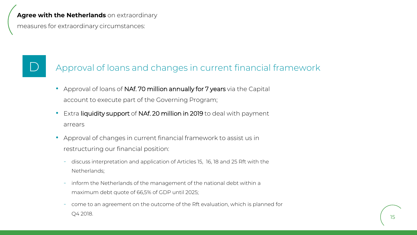### **Agree with the Netherlands** on extraordinary

measures for extraordinary circumstances:

## Approval of loans and changes in current financial framework

- Approval of loans of NAf. 70 million annually for 7 years via the Capital account to execute part of the Governing Program;
- Extra liquidity support of NAf. 20 million in 2019 to deal with payment arrears
- Approval of changes in current financial framework to assist us in restructuring our financial position:
	- discuss interpretation and application of Articles 15, 16, 18 and 25 Rft with the Netherlands;
	- inform the Netherlands of the management of the national debt within a maximum debt quote of 66,5% of GDP until 2025;
	- come to an agreement on the outcome of the Rft evaluation, which is planned for Q4 2018.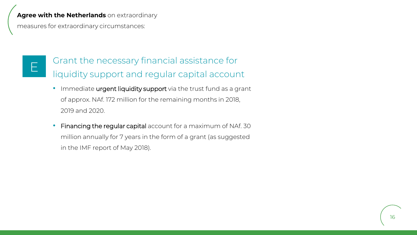### **Agree with the Netherlands** on extraordinary

measures for extraordinary circumstances:

## E

Grant the necessary financial assistance for liquidity support and regular capital account

- Immediate urgent liquidity support via the trust fund as a grant of approx. NAf. 172 million for the remaining months in 2018, 2019 and 2020.
- Financing the regular capital account for a maximum of NAf. 30 million annually for 7 years in the form of a grant (as suggested in the IMF report of May 2018).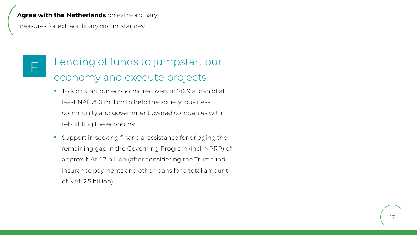### **Agree with the Netherlands** on extraordinary

measures for extraordinary circumstances:

## F

## Lending of funds to jumpstart our economy and execute projects

- To kick start our economic recovery in 2019 a loan of at least NAf. 250 million to help the society, business community and government owned companies with rebuilding the economy.
- Support in seeking financial assistance for bridging the remaining gap in the Governing Program (incl. NRRP) of approx. NAf. 1.7 billion (after considering the Trust fund, insurance payments and other loans for a total amount of NAf. 2.5 billion).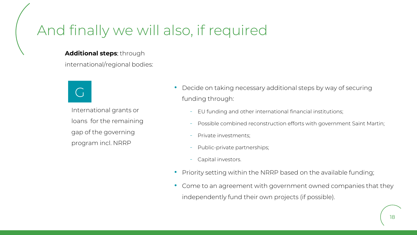## And finally we will also, if required

### **Additional steps**: through

international/regional bodies:



International grants or loans for the remaining gap of the governing program incl. NRRP

- Decide on taking necessary additional steps by way of securing funding through:
	- EU funding and other international financial institutions;
	- Possible combined reconstruction efforts with government Saint Martin;
	- Private investments;
	- Public-private partnerships;
	- Capital investors.
- Priority setting within the NRRP based on the available funding;
- Come to an agreement with government owned companies that they independently fund their own projects (if possible).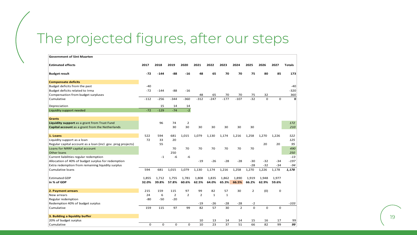## The projected figures, after our steps

| <b>Government of Sint Maarten</b>                            |          |          |                |                |                |              |              |                |                |             |             |               |
|--------------------------------------------------------------|----------|----------|----------------|----------------|----------------|--------------|--------------|----------------|----------------|-------------|-------------|---------------|
| <b>Estimated effects</b>                                     | 2017     | 2018     | 2019           | 2020           | 2021           | 2022         | 2023         | 2024           | 2025           | 2026        | 2027        | <b>Totals</b> |
| <b>Budget result</b>                                         | $-72$    | $-144$   | -88            | $-16$          | 48             | 65           | 70           | 70             | 75             | 80          | 85          | 173           |
| <b>Compensate deficits</b>                                   |          |          |                |                |                |              |              |                |                |             |             |               |
| Budget deficits from the past                                | $-40$    |          |                |                |                |              |              |                |                |             |             | $-40$         |
| Budget deficits related to Irma                              | $-72$    | $-144$   | $-88$          | $-16$          |                |              |              |                |                |             |             | $-320$        |
| Compensation from budget surpluses                           |          |          |                |                | 48             | 65           | 70           | 70             | 75             | 32          |             | 360           |
| Cumulative                                                   | $-112$   | $-256$   | $-344$         | $-360$         | $-312$         | $-247$       | $-177$       | $-107$         | $-32$          | $\Omega$    | $\Omega$    | $\mathbf{0}$  |
| Depreciation                                                 |          | 15       | 14             | 14             |                |              |              |                |                |             |             |               |
| Liquidity support needed                                     | $-72$    | $-129$   | $-74$          | $-2$           |                |              |              |                |                |             |             |               |
| <b>Grants</b>                                                |          |          |                |                |                |              |              |                |                |             |             |               |
| Liquidity support as a grant from Trust Fund                 |          | 96       | 74             | $\overline{2}$ |                |              |              |                |                |             |             | 172           |
| Capital account as a grant from the Netherlands              |          |          | 30             | 30             | 30             | 30           | 30           | 30             | 30             |             |             | 210           |
|                                                              |          |          |                |                |                |              |              |                |                |             |             |               |
| 1. Loans                                                     | 522      | 594      | 681            | 1,015          | 1,079          | 1,130        | 1,174        | 1,216          | 1,258          | 1,270       | 1,226       | 522           |
| Liquidity support as a loan                                  | 72       | 33       | 20             |                |                |              |              |                |                |             |             | 125           |
| Regular capital account as a loan (incl. gov. prog projects) |          | 55       |                |                |                |              |              |                |                | 20          | 20          | 95            |
| Loans for NRRP capital account                               |          |          | 70             | 70             | 70             | 70           | 70           | 70             | 70             |             |             | 490           |
| Other loans                                                  |          |          | 250            |                |                |              |              |                |                |             |             | 250           |
| Current liabilities regular redemption                       |          | $-1$     | $-6$           | $-6$           |                |              |              |                |                |             |             | $-13$         |
| Allocation of 40% of budget surplus for redemption           |          |          |                |                | $-19$          | $-26$        | $-28$        | $-28$          | $-30$          | $-32$       | $-34$       | $-197$        |
| Extra redemption from remaining liquidity surplus            |          |          |                |                |                |              |              |                | $-28$          | $-32$       | $-34$       | $-94$         |
| Cumulative loans                                             | 594      | 681      | 1,015          | 1,079          | 1,130          | 1,174        | 1,216        | 1,258          | 1,270          | 1,226       | 1,178       | 1,178         |
| <b>Estimated GDP</b>                                         | 1,855    | 1,712    | 1,755          | 1,781          | 1,808          | 1,835        | 1,862        | 1,890          | 1,919          | 1,948       | 1,977       |               |
| in % of GDP                                                  | 32.0%    | 39.8%    | 57.8%          | 60.6%          | 62.5%          | 64.0%        | 65.3%        | 66.5%          | 66.2%          | 62.9%       | 59.6%       |               |
|                                                              |          |          |                |                |                |              |              |                |                |             |             |               |
| 2. Payment arrears                                           | 215      | 159      | 115            | 97             | 99             | 82           | 57           | 30             | $\overline{2}$ | (0)         | 0           |               |
| New arrears                                                  | 24       | 6        | $\overline{2}$ | $\overline{2}$ | $\overline{2}$ | $\mathbf{1}$ | $\mathbf{1}$ |                |                |             |             |               |
| Regular redemption                                           | $-80$    | $-50$    | $-20$          |                |                |              |              |                |                |             |             |               |
| Redemption 40% of budget surplus                             |          |          |                |                | $-19$          | $-26$        | $-28$        | $-28$          | $-2$           |             |             | $-103$        |
| Cumulative                                                   | 159      | 115      | 97             | 99             | 82             | 57           | 30           | $\overline{2}$ | $\Omega$       | $\mathbf 0$ | $\mathbf 0$ |               |
| 3. Building a liquidity buffer                               |          |          |                |                |                |              |              |                |                |             |             |               |
| 20% of budget surplus                                        |          |          |                |                | 10             | 13           | 14           | 14             | 15             | 16          | 17          | 99            |
| Cumulative                                                   | $\Omega$ | $\Omega$ | $\Omega$       | $\Omega$       | 10             | 23           | 37           | 51             | 66             | 82          | 99          | 99            |

19